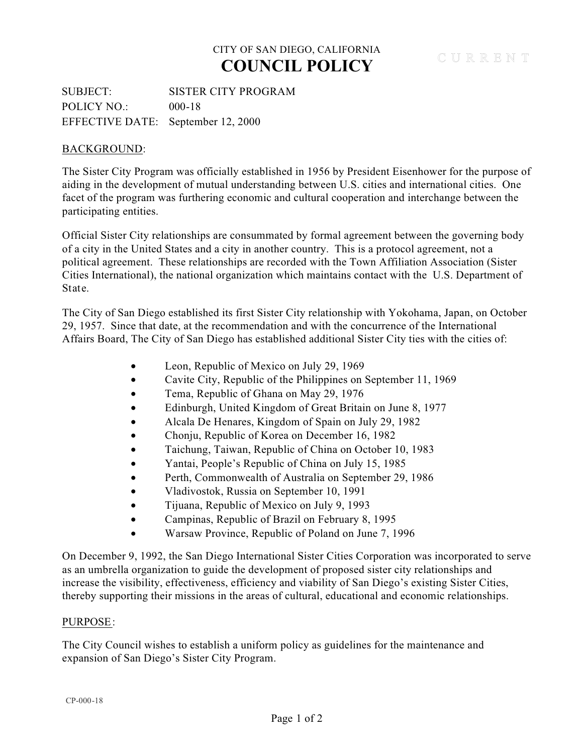## CITY OF SAN DIEGO, CALIFORNIA **COUNCIL POLICY**

SUBJECT: SISTER CITY PROGRAM POLICY NO.: 000-18 EFFECTIVE DATE: September 12, 2000

### BACKGROUND:

The Sister City Program was officially established in 1956 by President Eisenhower for the purpose of aiding in the development of mutual understanding between U.S. cities and international cities. One facet of the program was furthering economic and cultural cooperation and interchange between the participating entities.

Official Sister City relationships are consummated by formal agreement between the governing body of a city in the United States and a city in another country. This is a protocol agreement, not a political agreement. These relationships are recorded with the Town Affiliation Association (Sister Cities International), the national organization which maintains contact with the U.S. Department of State.

The City of San Diego established its first Sister City relationship with Yokohama, Japan, on October 29, 1957. Since that date, at the recommendation and with the concurrence of the International Affairs Board, The City of San Diego has established additional Sister City ties with the cities of:

- Leon, Republic of Mexico on July 29, 1969
- · Cavite City, Republic of the Philippines on September 11, 1969
- Tema, Republic of Ghana on May 29, 1976
- · Edinburgh, United Kingdom of Great Britain on June 8, 1977
- · Alcala De Henares, Kingdom of Spain on July 29, 1982
- Chonju, Republic of Korea on December 16, 1982
- · Taichung, Taiwan, Republic of China on October 10, 1983
- · Yantai, People's Republic of China on July 15, 1985
- Perth, Commonwealth of Australia on September 29, 1986
- Vladivostok, Russia on September 10, 1991
- · Tijuana, Republic of Mexico on July 9, 1993
- · Campinas, Republic of Brazil on February 8, 1995
- · Warsaw Province, Republic of Poland on June 7, 1996

On December 9, 1992, the San Diego International Sister Cities Corporation was incorporated to serve as an umbrella organization to guide the development of proposed sister city relationships and increase the visibility, effectiveness, efficiency and viability of San Diego's existing Sister Cities, thereby supporting their missions in the areas of cultural, educational and economic relationships.

#### PURPOSE:

The City Council wishes to establish a uniform policy as guidelines for the maintenance and expansion of San Diego's Sister City Program.